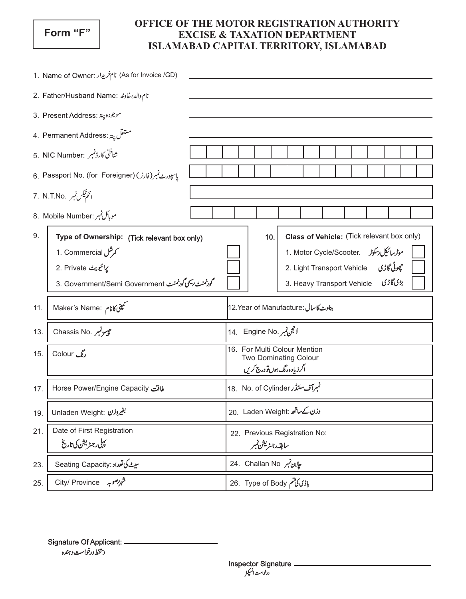## Form "F"

## OFFICE OF THE MOTOR REGISTRATION AUTHORITY **EXCISE & TAXATION DEPARTMENT** ISLAMABAD CAPITAL TERRITORY, ISLAMABAD

| (As for Invoice /GD) نام خريدار (As for Invoice /GD)   |                                                                                                                                                         |  |                                                                                               |  |     |  |                                                                                                                                                     |  |  |  |  |  |                      |  |  |
|--------------------------------------------------------|---------------------------------------------------------------------------------------------------------------------------------------------------------|--|-----------------------------------------------------------------------------------------------|--|-----|--|-----------------------------------------------------------------------------------------------------------------------------------------------------|--|--|--|--|--|----------------------|--|--|
| نام والدرخاوند : 2. Father/Husband Name                |                                                                                                                                                         |  |                                                                                               |  |     |  |                                                                                                                                                     |  |  |  |  |  |                      |  |  |
| 3. Present Address: موجوده پته                         |                                                                                                                                                         |  |                                                                                               |  |     |  |                                                                                                                                                     |  |  |  |  |  |                      |  |  |
| 4. Permanent Address: يستفل پية                        |                                                                                                                                                         |  |                                                                                               |  |     |  |                                                                                                                                                     |  |  |  |  |  |                      |  |  |
| شاختی کارڈنمبر :5. NIC Number                          |                                                                                                                                                         |  |                                                                                               |  |     |  |                                                                                                                                                     |  |  |  |  |  |                      |  |  |
| یا سپورٹے نمبر (فارز ) (6. Passport No. (for Foreigner |                                                                                                                                                         |  |                                                                                               |  |     |  |                                                                                                                                                     |  |  |  |  |  |                      |  |  |
| ا نَگُمْ نَگِس نَمبرِ . 7. N.T.No                      |                                                                                                                                                         |  |                                                                                               |  |     |  |                                                                                                                                                     |  |  |  |  |  |                      |  |  |
|                                                        | 8. Mobile Number: موبائل نمبر                                                                                                                           |  |                                                                                               |  |     |  |                                                                                                                                                     |  |  |  |  |  |                      |  |  |
| 9.                                                     | Type of Ownership: (Tick relevant box only)<br>م مرشل 1. Commercial<br>يرائيويث 2. Private<br>گودنمندورسیمی گودنمند - 3. Government/Semi Government : 3 |  |                                                                                               |  | 10. |  | Class of Vehicle: (Tick relevant box only)<br>1. Motor Cycle/Scooter. موٹرسائیکل دسکوٹر<br>2. Light Transport Vehicle<br>3. Heavy Transport Vehicle |  |  |  |  |  | چوڻي گاڙي<br>بڑیگاڑی |  |  |
| 11.                                                    | Maker's Name: کمپنی کانام                                                                                                                               |  | بناوبے کا سال :12.Year of Manufacture                                                         |  |     |  |                                                                                                                                                     |  |  |  |  |  |                      |  |  |
| 13.                                                    | Chassis No. پيرنمبر                                                                                                                                     |  | الجن نمبر .14 Engine No                                                                       |  |     |  |                                                                                                                                                     |  |  |  |  |  |                      |  |  |
| 15.                                                    | رنگ Colour                                                                                                                                              |  | 16. For Multi Colour Mention<br><b>Two Dominating Colour</b><br>اگرز پاده رنگ ہوں تو درج کریں |  |     |  |                                                                                                                                                     |  |  |  |  |  |                      |  |  |
| 17.                                                    | لماقت Horse Power/Engine Capacity                                                                                                                       |  | تمبرآف سلنڈر 18. No. of Cylinder                                                              |  |     |  |                                                                                                                                                     |  |  |  |  |  |                      |  |  |
| 19.                                                    | لِغَيْرُوزْن :Unladen Weight                                                                                                                            |  | 20. Laden Weight: وزن کے ساتھ                                                                 |  |     |  |                                                                                                                                                     |  |  |  |  |  |                      |  |  |
| 21.                                                    | Date of First Registration<br>پہلی رجسٹریشن کی تاریخ                                                                                                    |  | 22. Previous Registration No:<br>سابقەرجىزىشىنمبر                                             |  |     |  |                                                                                                                                                     |  |  |  |  |  |                      |  |  |
| 23.                                                    | سيٺ کی تعداد:Seating Capacity                                                                                                                           |  | 24. Challan No بِلِلانِ نَمبرِ                                                                |  |     |  |                                                                                                                                                     |  |  |  |  |  |                      |  |  |
| 25.                                                    | شہر صوبہ City/ Province                                                                                                                                 |  | باڈی کی تم 26. Type of Body                                                                   |  |     |  |                                                                                                                                                     |  |  |  |  |  |                      |  |  |

Signature Of Applicant: \_ د يتخط درخواست د ہندہ